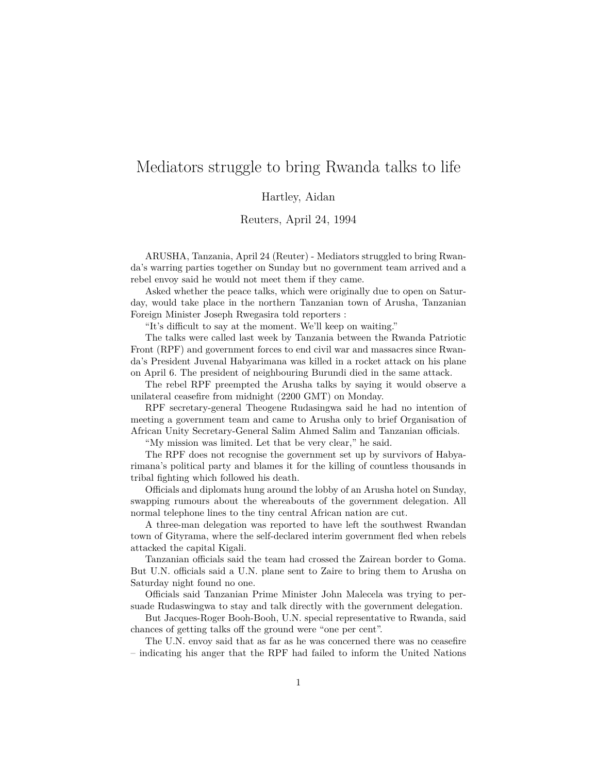## Mediators struggle to bring Rwanda talks to life

Hartley, Aidan

Reuters, April 24, 1994

ARUSHA, Tanzania, April 24 (Reuter) - Mediators struggled to bring Rwanda's warring parties together on Sunday but no government team arrived and a rebel envoy said he would not meet them if they came.

Asked whether the peace talks, which were originally due to open on Saturday, would take place in the northern Tanzanian town of Arusha, Tanzanian Foreign Minister Joseph Rwegasira told reporters :

"It's difficult to say at the moment. We'll keep on waiting."

The talks were called last week by Tanzania between the Rwanda Patriotic Front (RPF) and government forces to end civil war and massacres since Rwanda's President Juvenal Habyarimana was killed in a rocket attack on his plane on April 6. The president of neighbouring Burundi died in the same attack.

The rebel RPF preempted the Arusha talks by saying it would observe a unilateral ceasefire from midnight (2200 GMT) on Monday.

RPF secretary-general Theogene Rudasingwa said he had no intention of meeting a government team and came to Arusha only to brief Organisation of African Unity Secretary-General Salim Ahmed Salim and Tanzanian officials.

"My mission was limited. Let that be very clear," he said.

The RPF does not recognise the government set up by survivors of Habyarimana's political party and blames it for the killing of countless thousands in tribal fighting which followed his death.

Officials and diplomats hung around the lobby of an Arusha hotel on Sunday, swapping rumours about the whereabouts of the government delegation. All normal telephone lines to the tiny central African nation are cut.

A three-man delegation was reported to have left the southwest Rwandan town of Gityrama, where the self-declared interim government fled when rebels attacked the capital Kigali.

Tanzanian officials said the team had crossed the Zairean border to Goma. But U.N. officials said a U.N. plane sent to Zaire to bring them to Arusha on Saturday night found no one.

Officials said Tanzanian Prime Minister John Malecela was trying to persuade Rudaswingwa to stay and talk directly with the government delegation.

But Jacques-Roger Booh-Booh, U.N. special representative to Rwanda, said chances of getting talks off the ground were "one per cent".

The U.N. envoy said that as far as he was concerned there was no ceasefire – indicating his anger that the RPF had failed to inform the United Nations